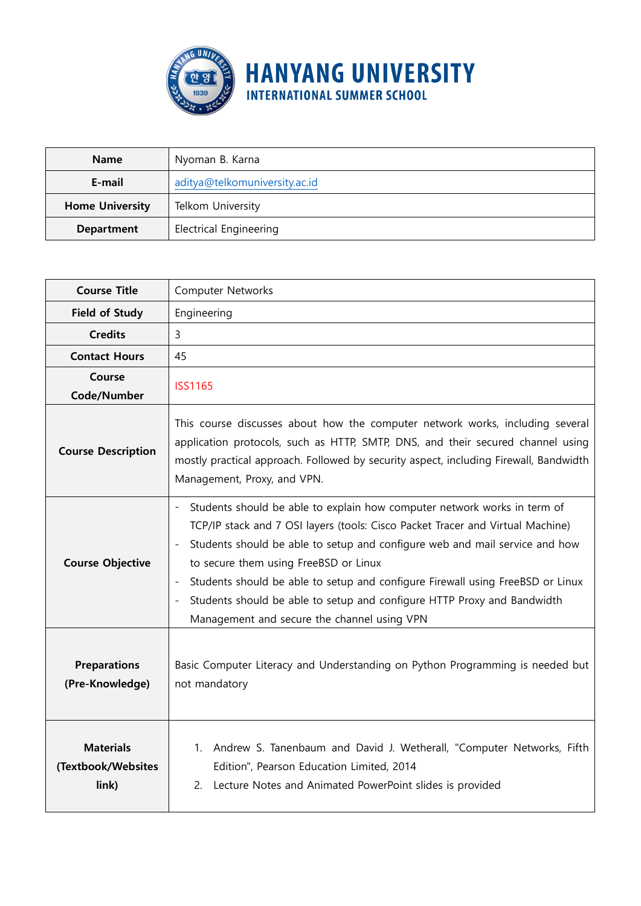

| <b>Name</b>                                 | Nyoman B. Karna               |  |  |  |  |  |
|---------------------------------------------|-------------------------------|--|--|--|--|--|
| E-mail                                      | aditya@telkomuniversity.ac.id |  |  |  |  |  |
| Telkom University<br><b>Home University</b> |                               |  |  |  |  |  |
| Department                                  | <b>Electrical Engineering</b> |  |  |  |  |  |

| <b>Course Title</b>                             | Computer Networks                                                                                                                                                                                                                                                                                                                                                                                                                                                                                                                                      |  |  |  |  |  |
|-------------------------------------------------|--------------------------------------------------------------------------------------------------------------------------------------------------------------------------------------------------------------------------------------------------------------------------------------------------------------------------------------------------------------------------------------------------------------------------------------------------------------------------------------------------------------------------------------------------------|--|--|--|--|--|
| <b>Field of Study</b>                           | Engineering                                                                                                                                                                                                                                                                                                                                                                                                                                                                                                                                            |  |  |  |  |  |
| <b>Credits</b>                                  | 3                                                                                                                                                                                                                                                                                                                                                                                                                                                                                                                                                      |  |  |  |  |  |
| <b>Contact Hours</b>                            | 45                                                                                                                                                                                                                                                                                                                                                                                                                                                                                                                                                     |  |  |  |  |  |
| Course<br>Code/Number                           | <b>ISS1165</b>                                                                                                                                                                                                                                                                                                                                                                                                                                                                                                                                         |  |  |  |  |  |
| <b>Course Description</b>                       | This course discusses about how the computer network works, including several<br>application protocols, such as HTTP, SMTP, DNS, and their secured channel using<br>mostly practical approach. Followed by security aspect, including Firewall, Bandwidth<br>Management, Proxy, and VPN.                                                                                                                                                                                                                                                               |  |  |  |  |  |
| <b>Course Objective</b>                         | Students should be able to explain how computer network works in term of<br>TCP/IP stack and 7 OSI layers (tools: Cisco Packet Tracer and Virtual Machine)<br>Students should be able to setup and configure web and mail service and how<br>$\overline{\phantom{a}}$<br>to secure them using FreeBSD or Linux<br>Students should be able to setup and configure Firewall using FreeBSD or Linux<br>$\overline{\phantom{a}}$<br>Students should be able to setup and configure HTTP Proxy and Bandwidth<br>Management and secure the channel using VPN |  |  |  |  |  |
| <b>Preparations</b><br>(Pre-Knowledge)          | Basic Computer Literacy and Understanding on Python Programming is needed but<br>not mandatory                                                                                                                                                                                                                                                                                                                                                                                                                                                         |  |  |  |  |  |
| <b>Materials</b><br>(Textbook/Websites<br>link) | 1. Andrew S. Tanenbaum and David J. Wetherall, "Computer Networks, Fifth<br>Edition", Pearson Education Limited, 2014<br>2. Lecture Notes and Animated PowerPoint slides is provided                                                                                                                                                                                                                                                                                                                                                                   |  |  |  |  |  |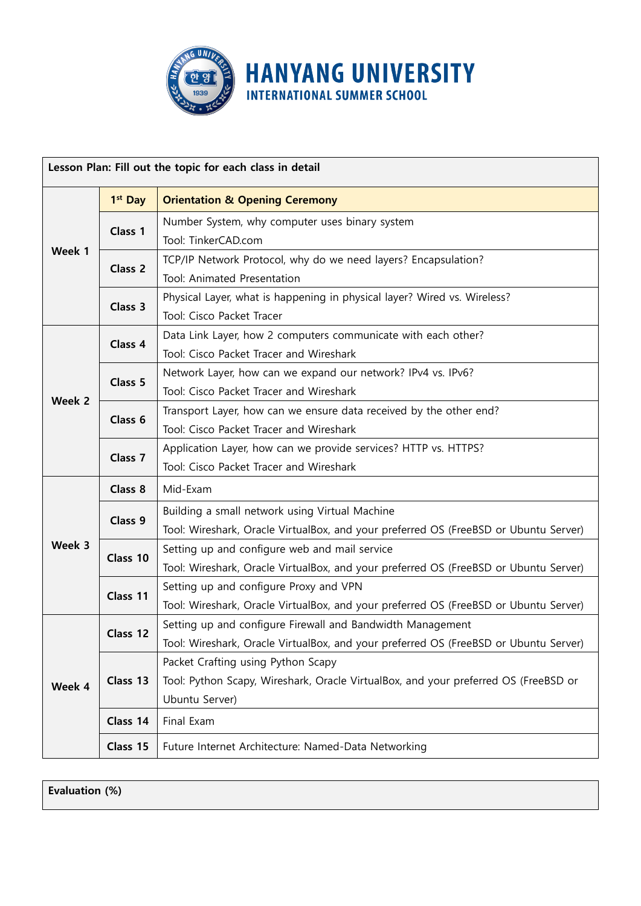

| Lesson Plan: Fill out the topic for each class in detail |                     |                                                                                                                                                    |  |  |  |  |  |
|----------------------------------------------------------|---------------------|----------------------------------------------------------------------------------------------------------------------------------------------------|--|--|--|--|--|
|                                                          | 1 <sup>st</sup> Day | <b>Orientation &amp; Opening Ceremony</b>                                                                                                          |  |  |  |  |  |
| Week 1                                                   | Class 1             | Number System, why computer uses binary system<br>Tool: TinkerCAD.com                                                                              |  |  |  |  |  |
|                                                          | Class 2             | TCP/IP Network Protocol, why do we need layers? Encapsulation?<br>Tool: Animated Presentation                                                      |  |  |  |  |  |
|                                                          | Class 3             | Physical Layer, what is happening in physical layer? Wired vs. Wireless?<br>Tool: Cisco Packet Tracer                                              |  |  |  |  |  |
| Week 2                                                   | Class <sub>4</sub>  | Data Link Layer, how 2 computers communicate with each other?<br>Tool: Cisco Packet Tracer and Wireshark                                           |  |  |  |  |  |
|                                                          | Class 5             | Network Layer, how can we expand our network? IPv4 vs. IPv6?<br>Tool: Cisco Packet Tracer and Wireshark                                            |  |  |  |  |  |
|                                                          | Class <sub>6</sub>  | Transport Layer, how can we ensure data received by the other end?<br>Tool: Cisco Packet Tracer and Wireshark                                      |  |  |  |  |  |
|                                                          | Class <sub>7</sub>  | Application Layer, how can we provide services? HTTP vs. HTTPS?<br>Tool: Cisco Packet Tracer and Wireshark                                         |  |  |  |  |  |
|                                                          | Class 8             | Mid-Exam                                                                                                                                           |  |  |  |  |  |
| Week 3                                                   | Class 9             | Building a small network using Virtual Machine<br>Tool: Wireshark, Oracle VirtualBox, and your preferred OS (FreeBSD or Ubuntu Server)             |  |  |  |  |  |
|                                                          | Class 10            | Setting up and configure web and mail service<br>Tool: Wireshark, Oracle VirtualBox, and your preferred OS (FreeBSD or Ubuntu Server)              |  |  |  |  |  |
|                                                          | Class 11            | Setting up and configure Proxy and VPN<br>Tool: Wireshark, Oracle VirtualBox, and your preferred OS (FreeBSD or Ubuntu Server)                     |  |  |  |  |  |
| Week 4                                                   | Class 12            | Setting up and configure Firewall and Bandwidth Management<br>Tool: Wireshark, Oracle VirtualBox, and your preferred OS (FreeBSD or Ubuntu Server) |  |  |  |  |  |
|                                                          | Class 13            | Packet Crafting using Python Scapy<br>Tool: Python Scapy, Wireshark, Oracle VirtualBox, and your preferred OS (FreeBSD or<br>Ubuntu Server)        |  |  |  |  |  |
|                                                          | Class 14            | Final Exam                                                                                                                                         |  |  |  |  |  |
|                                                          | Class 15            | Future Internet Architecture: Named-Data Networking                                                                                                |  |  |  |  |  |

**Evaluation (%)**